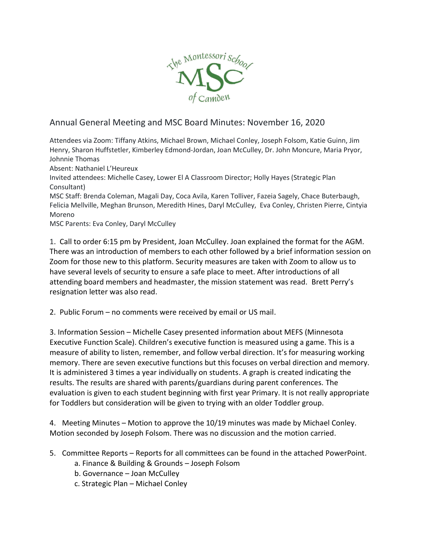

## Annual General Meeting and MSC Board Minutes: November 16, 2020

Attendees via Zoom: Tiffany Atkins, Michael Brown, Michael Conley, Joseph Folsom, Katie Guinn, Jim Henry, Sharon Huffstetler, Kimberley Edmond-Jordan, Joan McCulley, Dr. John Moncure, Maria Pryor, Johnnie Thomas

Absent: Nathaniel L'Heureux

Invited attendees: Michelle Casey, Lower El A Classroom Director; Holly Hayes (Strategic Plan Consultant)

MSC Staff: Brenda Coleman, Magali Day, Coca Avila, Karen Tolliver, Fazeia Sagely, Chace Buterbaugh, Felicia Mellville, Meghan Brunson, Meredith Hines, Daryl McCulley, Eva Conley, Christen Pierre, Cintyia Moreno

MSC Parents: Eva Conley, Daryl McCulley

1. Call to order 6:15 pm by President, Joan McCulley. Joan explained the format for the AGM. There was an introduction of members to each other followed by a brief information session on Zoom for those new to this platform. Security measures are taken with Zoom to allow us to have several levels of security to ensure a safe place to meet. After introductions of all attending board members and headmaster, the mission statement was read. Brett Perry's resignation letter was also read.

2. Public Forum – no comments were received by email or US mail.

3. Information Session – Michelle Casey presented information about MEFS (Minnesota Executive Function Scale). Children's executive function is measured using a game. This is a measure of ability to listen, remember, and follow verbal direction. It's for measuring working memory. There are seven executive functions but this focuses on verbal direction and memory. It is administered 3 times a year individually on students. A graph is created indicating the results. The results are shared with parents/guardians during parent conferences. The evaluation is given to each student beginning with first year Primary. It is not really appropriate for Toddlers but consideration will be given to trying with an older Toddler group.

4. Meeting Minutes – Motion to approve the 10/19 minutes was made by Michael Conley. Motion seconded by Joseph Folsom. There was no discussion and the motion carried.

- 5. Committee Reports Reports for all committees can be found in the attached PowerPoint.
	- a. Finance & Building & Grounds Joseph Folsom
	- b. Governance Joan McCulley
	- c. Strategic Plan Michael Conley